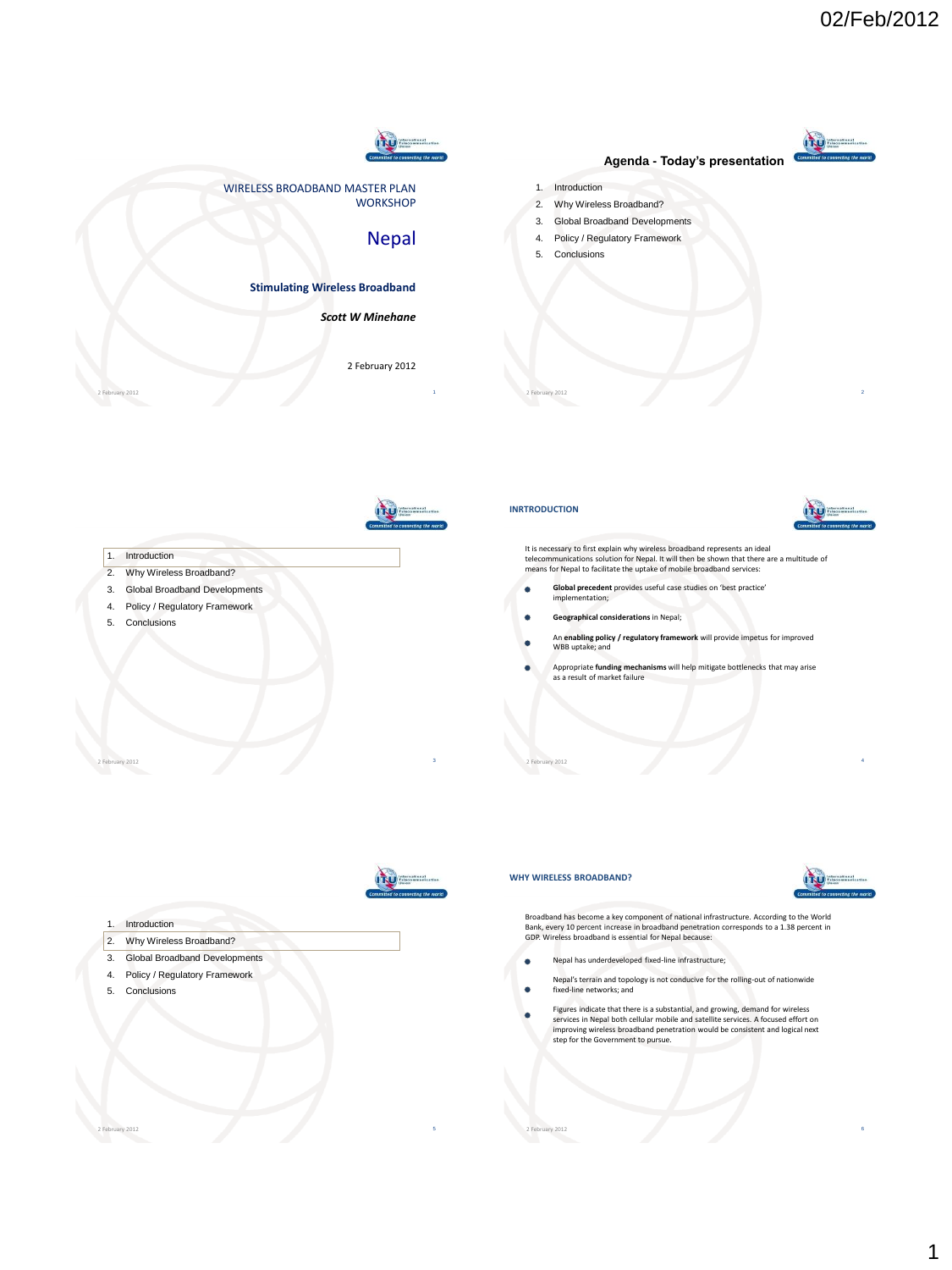



**WORKSHOP** 

## Nepal

**ITU** 

## **Stimulating Wireless Broadband**

WIRELESS BROADBAND MASTER PLAN

### *Scott W Minehane*

2 February 2012

## **Agenda - Today's presentation**

- 1. Introduction
- 2. Why Wireless Broadband? 3. Global Broadband Developments
- 4. Policy / Regulatory Framework
- 5. Conclusions



2 February 2012 30 September 2012 30 September 2012 30 September 2013 30 September 2013 30 September 2013 30 September 2013 30 September 2013 30 September 2013 30 September 2013 30 September 2013 30 September 2013 30 Septe

2 February 2012 **5 Secondary 2012** 5 Secondary 2012 5 Secondary 2012 5 Secondary 2012 5 Secondary 2012 5 Secondary 2012 5 Secondary 2012 5 Secondary 2012 5 Secondary 2012 5 Secondary 2012 5 Secondary 2012 5 Secondary 2012

2 February 2012 1

- 2. Why Wireless Broadband?
- 3. Global Broadband Developments
- 4. Policy / Regulatory Framework
- 5. Conclusions





It is necessary to first explain why wireless broadband represents an ideal<br>telecommunications solution for Nepal. It will then be shown that there are a multitude of<br>means for Nepal to facilitate the uptake of mobile broa

2 February 2012 2

- ۰ **Global precedent** provides useful case studies on 'best practice' implementation;
- **Geographical considerations** in Nepal;
- An **enabling policy / regulatory framework** will provide impetus for improved WBB uptake; and
- Appropriate **funding mechanisms** will help mitigate bottlenecks that may arise as a result of market failure

2 February 2012 4



#### 1. Introduction

- 2. Why Wireless Broadband?
- 3. Global Broadband Developments
- 4. Policy / Regulatory Framework
- 5. Conclusions

#### **WHY WIRELESS BROADBAND?**



Broadband has become a key component of national infrastructure. According to the World<br>Bank, every 10 percent increase in broadband penetration corresponds to a 1.38 percent in<br>GDP. Wireless broadband is essential for Nep

- Nepal has underdeveloped fixed-line infrastructure;  $\bullet$
- Nepal's terrain and topology is not conducive for the rolling-out of nationwide fixed-line networks; and ٠
- Figures indicate that there is a substantial, and growing, demand for wireless services in Nepal both cellular mobile and satellite services. A focused effort on improving wireless broadband penetration would be consistent and logical next step for the Government to pursue.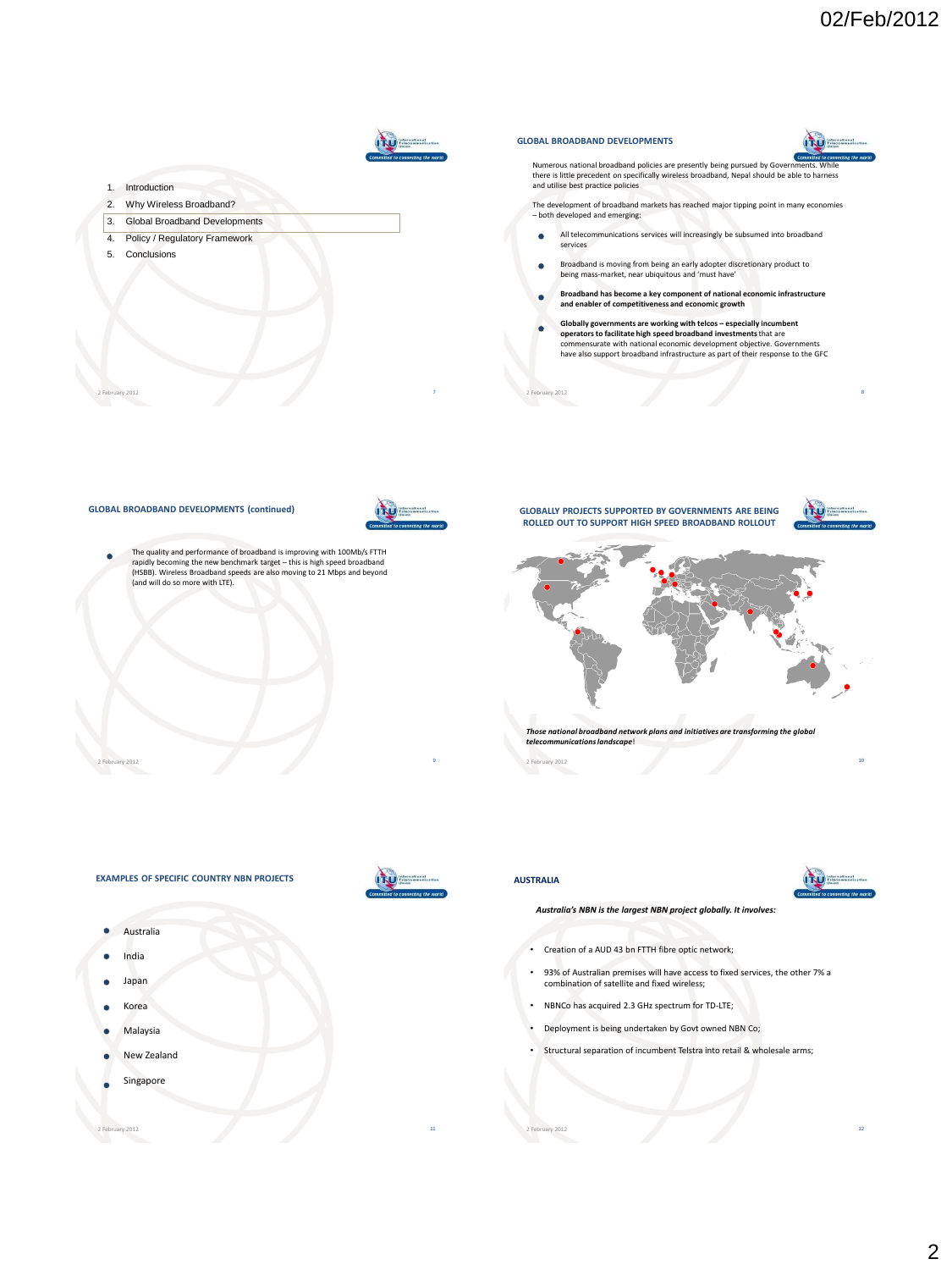

2 February 2012 11 No. 1 No. 1 No. 1 No. 1 No. 1 No. 1 No. 1 No. 1 No. 1 No. 1 No. 1 No. 1 No. 1 No. 1 No. 1 No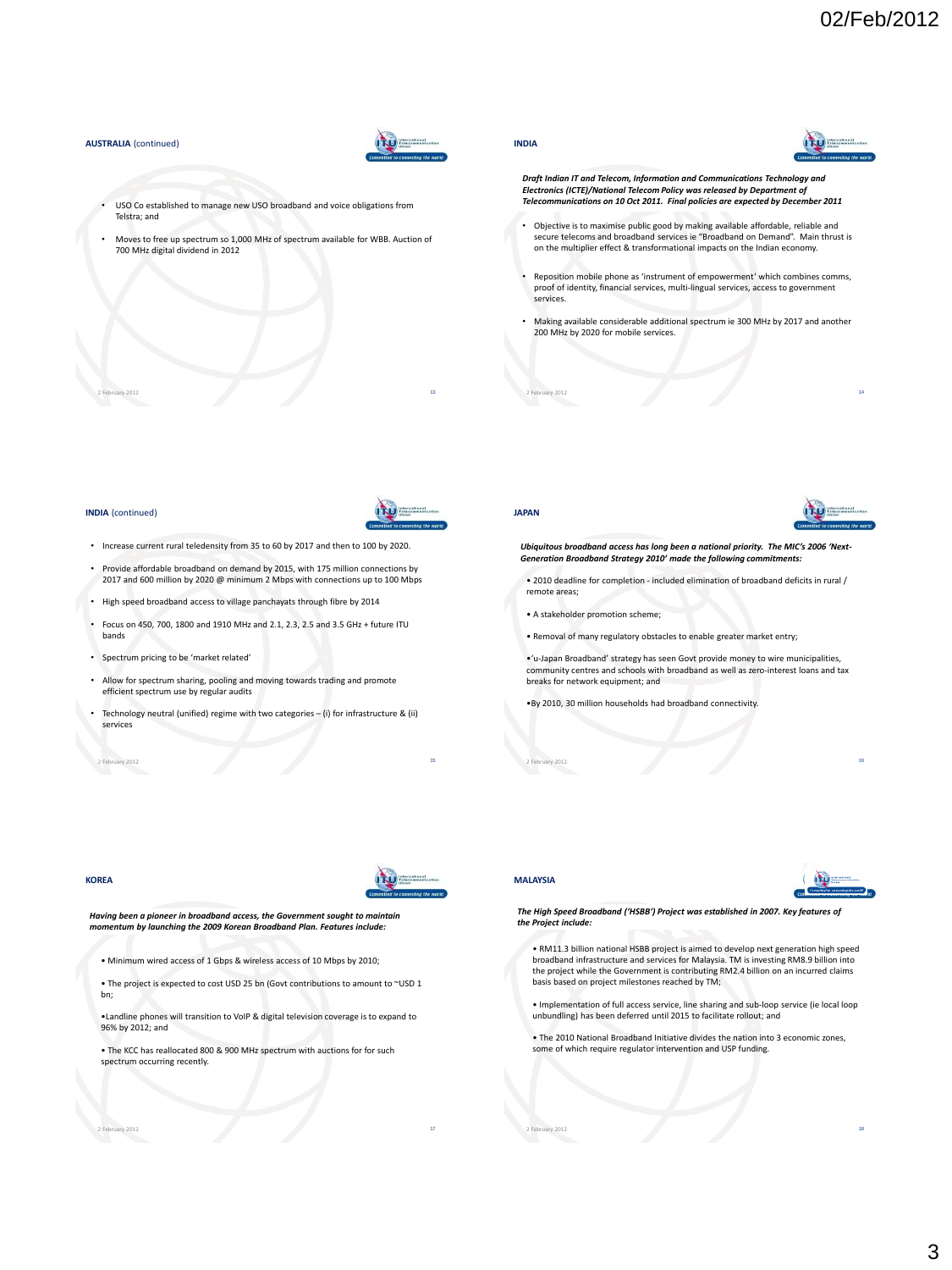#### **AUSTRALIA** (continued)



- USO Co established to manage new USO broadband and voice obligations from Telstra; and
- Moves to free up spectrum so 1,000 MHz of spectrum available for WBB. Auction of 700 MHz digital dividend in 2012

2 February 2012 13 and 2012 13 and 2012 13 and 2013 13 and 2013 13 and 2013 13 and 2013 13 and 2013 13 and 201

**INDIA**



- *Draft Indian IT and Telecom, Information and Communications Technology and Electronics (ICTE)/National Telecom Policy was released by Department of Telecommunications on 10 Oct 2011. Final policies are expected by December 2011*
- Objective is to maximise public good by making available affordable, reliable and secure telecoms and broadband services ie "Broadband on Demand". Main thrust is on the multiplier effect & transformational impacts on the Indian economy.
- Reposition mobile phone as 'instrument of empowerment' which combines comms, proof of identity, financial services, multi-lingual services, access to government services.
- Making available considerable additional spectrum ie 300 MHz by 2017 and another 200 MHz by 2020 for mobile services.

2 February 2012 14

#### **INDIA** (continued)



- Increase current rural teledensity from 35 to 60 by 2017 and then to 100 by 2020.
- Provide affordable broadband on demand by 2015, with 175 million connections by 2017 and 600 million by 2020 @ minimum 2 Mbps with connections up to 100 Mbps
- High speed broadband access to village panchayats through fibre by 2014
- Focus on 450, 700, 1800 and 1910 MHz and 2.1, 2.3, 2.5 and 3.5 GHz + future ITU bands
- Spectrum pricing to be 'market related'
- Allow for spectrum sharing, pooling and moving towards trading and promote efficient spectrum use by regular audits
- Technology neutral (unified) regime with two categories (i) for infrastructure & (ii) services

2 February 2012 15 and 2012 15 and 2012 15 and 2013 15 and 2013 15 and 2013 15 and 2013 15 and 2013 15 and 201

# **JAPAN**



## *Ubiquitous broadband access has long been a national priority. The MIC's 2006 'Next-Generation Broadband Strategy 2010' made the following commitments:*

• 2010 deadline for completion - included elimination of broadband deficits in rural / remote areas;

- A stakeholder promotion scheme;
- Removal of many regulatory obstacles to enable greater market entry;

•'u-Japan Broadband' strategy has seen Govt provide money to wire municipalities, community centres and schools with broadband as well as zero-interest loans and tax breaks for network equipment; and

2 February 2012 16 November 2012 16 November 2012 16 November 2012 16 November 2013 16 November 2012 16 November 2013

•By 2010, 30 million households had broadband connectivity.

#### **KOREA**



*Having been a pioneer in broadband access, the Government sought to maintain momentum by launching the 2009 Korean Broadband Plan. Features include:*

• Minimum wired access of 1 Gbps & wireless access of 10 Mbps by 2010;

• The project is expected to cost USD 25 bn (Govt contributions to amount to ~USD 1 bn;

•Landline phones will transition to VoIP & digital television coverage is to expand to 96% by 2012; and

2 February 2012 17 November 2012 17:30 17:30 17:30 17:30 17:30 17:30 17:30 17:30 17:30 17:30 17:30 17:30 17:30

• The KCC has reallocated 800 & 900 MHz spectrum with auctions for for such spectrum occurring recently.

#### **MALAYSIA**



*The High Speed Broadband ('HSBB') Project was established in 2007. Key features of the Project include:*

• RM11.3 billion national HSBB project is aimed to develop next generation high speed broadband infrastructure and services for Malaysia. TM is investing RM8.9 billion into the project while the Government is contributing RM2.4 billion on an incurred claims basis based on project milestones reached by TM;

• Implementation of full access service, line sharing and sub-loop service (ie local loop unbundling) has been deferred until 2015 to facilitate rollout; and

• The 2010 National Broadband Initiative divides the nation into 3 economic zones, some of which require regulator intervention and USP funding.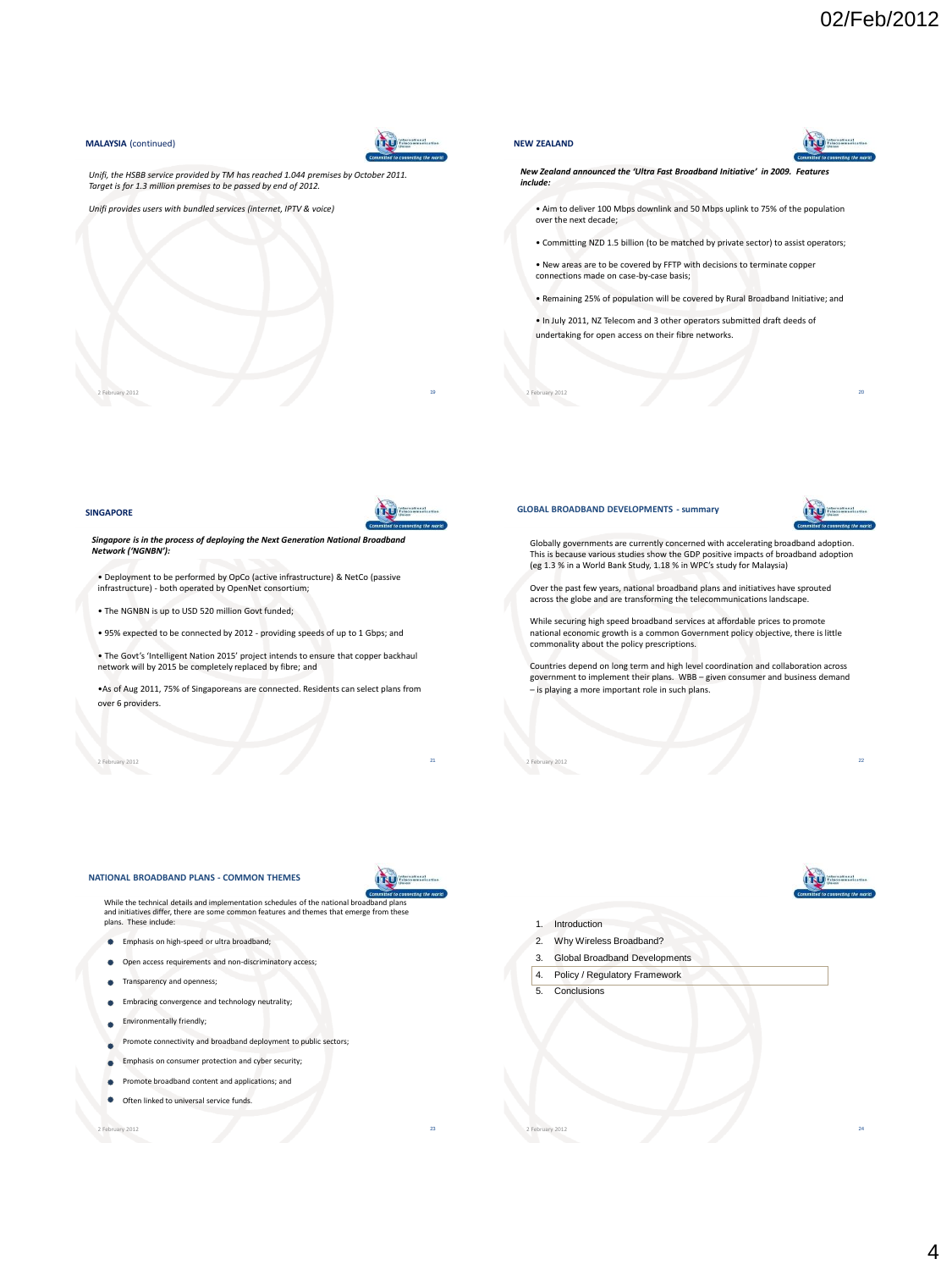#### **MALAYSIA** (continued)



*Unifi, the HSBB service provided by TM has reached 1.044 premises by October 2011. Target is for 1.3 million premises to be passed by end of 2012.*

*Unifi provides users with bundled services (internet, IPTV & voice)*

#### **NEW ZEALAND**



*New Zealand announced the 'Ultra Fast Broadband Initiative' in 2009. Features include:*

• Aim to deliver 100 Mbps downlink and 50 Mbps uplink to 75% of the population over the next decade;

• Committing NZD 1.5 billion (to be matched by private sector) to assist operators;

• New areas are to be covered by FFTP with decisions to terminate copper connections made on case-by-case basis;

• Remaining 25% of population will be covered by Rural Broadband Initiative; and

2 February 2012 20

• In July 2011, NZ Telecom and 3 other operators submitted draft deeds of undertaking for open access on their fibre networks.

#### **SINGAPORE**



*Singapore is in the process of deploying the Next Generation National Broadband Network ('NGNBN'):*

2 February 2012 19 November 2012 19:30 19:30 19:30 19:30 19:30 19:30 19:30 19:30 19:30 19:30 19:30 19:30 19:30

• Deployment to be performed by OpCo (active infrastructure) & NetCo (passive infrastructure) - both operated by OpenNet consortium;

• The NGNBN is up to USD 520 million Govt funded;

• 95% expected to be connected by 2012 - providing speeds of up to 1 Gbps; and

• The Govt's 'Intelligent Nation 2015' project intends to ensure that copper backhaul network will by 2015 be completely replaced by fibre; and

•As of Aug 2011, 75% of Singaporeans are connected. Residents can select plans from over 6 providers.

2 February 2012 21 Page 2012 21 Page 2012 21 Page 2012 21 Page 2012 21 Page 2012 21 Page 2012 21 Page 2012 21



#### **GLOBAL BROADBAND DEVELOPMENTS - summary**



Globally governments are currently concerned with accelerating broadband adoption. This is because various studies show the GDP positive impacts of broadband adoption (eg 1.3 % in a World Bank Study, 1.18 % in WPC's study for Malaysia)

Over the past few years, national broadband plans and initiatives have sprouted across the globe and are transforming the telecommunications landscape.

While securing high speed broadband services at affordable prices to promote national economic growth is a common Government policy objective, there is little commonality about the policy prescriptions.

Countries depend on long term and high level coordination and collaboration across government to implement their plans. WBB – given consumer and business demand – is playing a more important role in such plans.

2 February 2012 22 22 23 24 25 26 27 27 28 29 29 20 21 22 22 23 24 25 26 27 28 29 20 21 22 22 22 22 22 22 22 23

#### **NATIONAL BROADBAND PLANS - COMMON THEMES**





and initiatives differ, there are some common features and themes that emerge from these plans. These include:

- **Emphasis on high-speed or ultra broadband:**
- Open access requirements and non-discriminatory access;
- rency and openness;
- **Embracing convergence and technology neutrality;**
- Environmentally friendly;
- te connectivity and broadband deployment to public sectors;
- Emphasis on consumer protection and cyber security;
- Promote broadband content and applications; and
- ٠ Often linked to universal service fu

2 February 2012 23



- 2. Why Wireless Broadband?
- 3. Global Broadband Developments
- 4. Policy / Regulatory Framework

2 February 2012 24 Personal American Communication of the Communication of the Communication of the Communication of the Communication of the Communication of the Communication of the Communication of the Communication of

5. Conclusions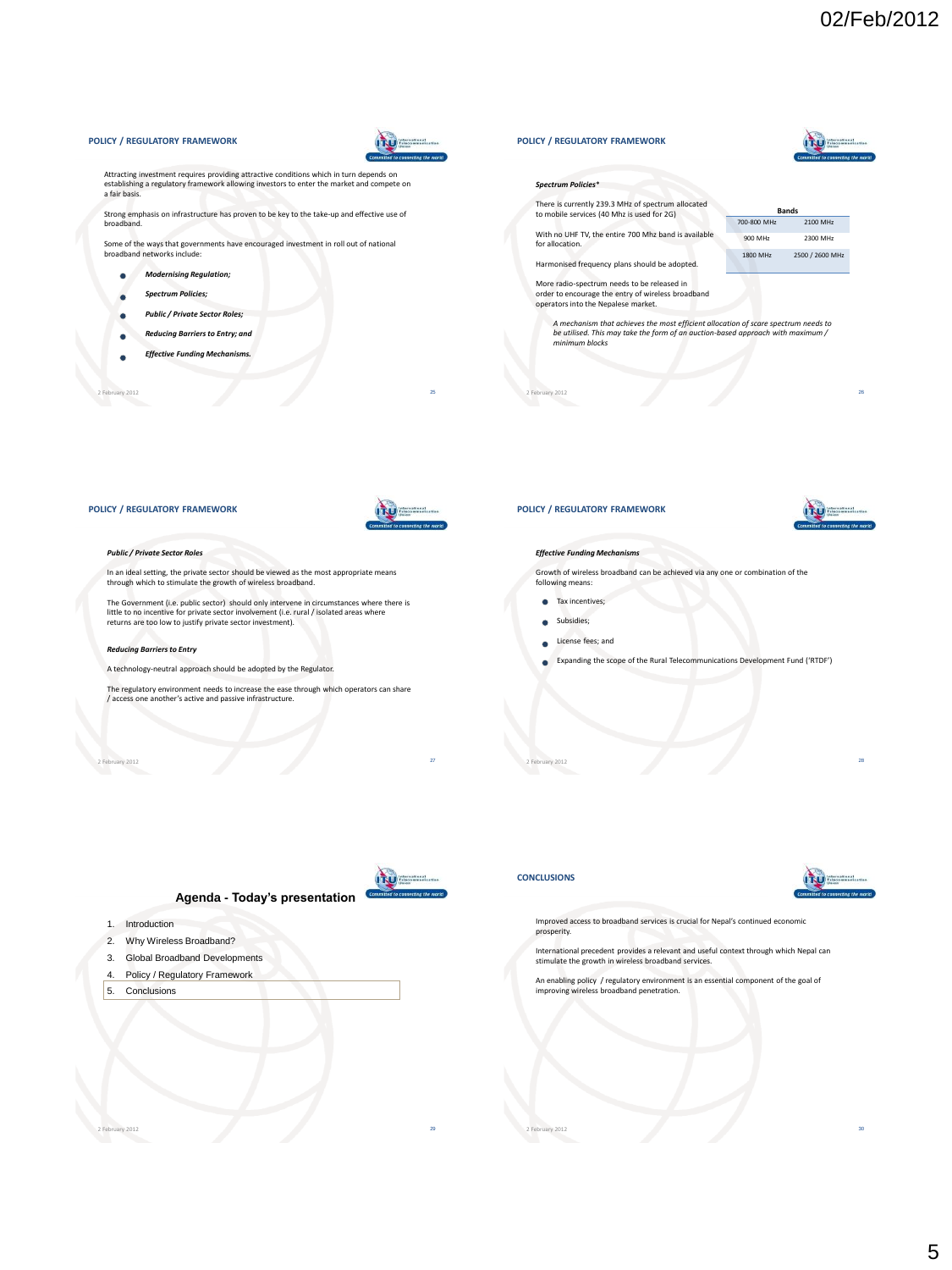#### Attracting investment requires providing attractive conditions which in turn depends on establishing a regulatory framework allowing investors to enter the market and compete on *Spectrum Policies*\* a fair basis. There is currently 239.3 MHz of spectrum allocated to mobile services (40 Mhz is used for 2G) **Bands** Strong emphasis on infrastructure has proven to be key to the take-up and effective use of broadband. 700-800 MHz 2100 MHz With no UHF TV, the entire 700 Mhz band is available 900 MHz 2300 MHz Some of the ways that governments have encouraged investment in roll out of national for allocation. broadband networks include: 1800 MHz 2500 / 2600 MHz Harmonised frequency plans should be adopted. *Modernising Regulation;*  $\bullet$ More radio-spectrum needs to be released in order to encourage the entry of wireless broadband *Spectrum Policies;*  $\bullet$ operators into the Nepalese market. ٠ *Public / Private Sector Roles; A mechanism that achieves the most efficient allocation of scare spectrum needs to Reducing Barriers to Entry; and*  $\bullet$ *be utilised. This may take the form of an auction-based approach with maximum / minimum blocks Effective Funding Mechanisms.*  ۰ 2 February 2012 25 2 February 2012 26 **POLICY / REGULATORY FRAMEWORK**

**POLICY / REGULATORY FRAMEWORK**



ity \_\_\_\_\_\_\_

#### *Public / Private Sector Roles*

In an ideal setting, the private sector should be viewed as the most appropriate means through which to stimulate the growth of wireless broadband.

The Government (i.e. public sector) should only intervene in circumstances where there is little to no incentive for private sector involvement (i.e. rural / isolated areas where returns are too low to justify private sector investment).

#### *Reducing Barriers to Entry*

A technology-neutral approach should be adopted by the Regulator.

The regulatory environment needs to increase the ease through which operators can share / access one another's active and passive infrastructure.

2 February 2012 27

**POLICY / REGULATORY FRAMEWORK**

**POLICY / REGULATORY FRAMEWORK**



#### *Effective Funding Mechanisms*

Growth of wireless broadband can be achieved via any one or combination of the

following means: **Tax incentives;** 

- **Subsidies**;
- 
- License fees; and
- Expanding the scope of the Rural Telecommunications Development Fund ('RTDF')

2 February 2012 28

## **Agenda - Today's presentation**

- 1. Introduction
- 2. Why Wireless Broadband?
- 3. Global Broadband Developments
- 4. Policy / Regulatory Framework
- 5. Conclusions



#### **CONCLUSIONS**



Improved access to broadband services is crucial for Nepal's continued economic prosperity.

International precedent provides a relevant and useful context through which Nepal can stimulate the growth in wireless broadband services.

An enabling policy / regulatory environment is an essential component of the goal of improving wireless broadband penetration.